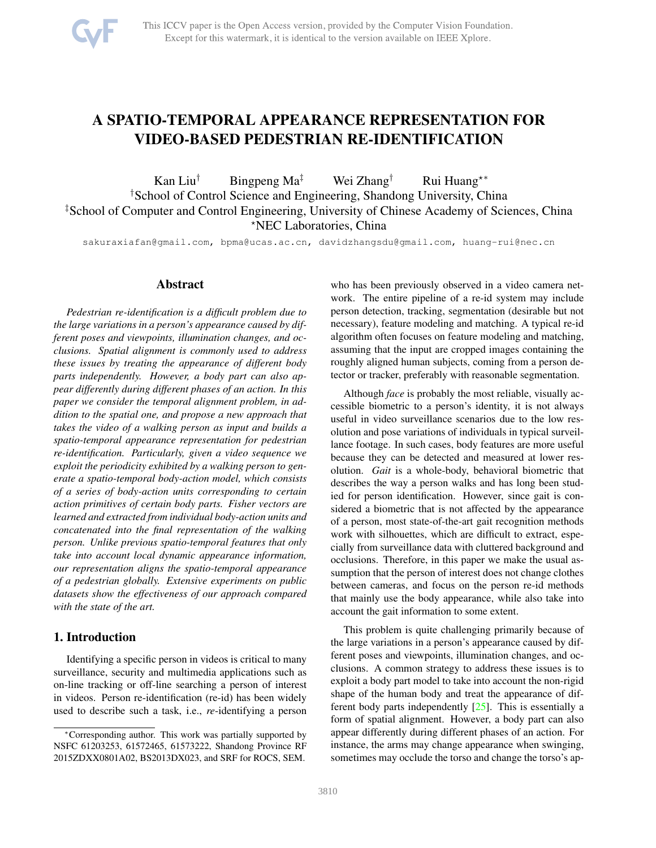

# <span id="page-0-0"></span>A SPATIO-TEMPORAL APPEARANCE REPRESENTATION FOR VIDEO-BASED PEDESTRIAN RE-IDENTIFICATION

Kan Liu<sup>†</sup> Bingpeng Ma<sup>‡</sup> Wei Zhang<sup>†</sup> Rui Huang<sup>\*\*</sup> †School of Control Science and Engineering, Shandong University, China ‡School of Computer and Control Engineering, University of Chinese Academy of Sciences, China <sup>⋆</sup>NEC Laboratories, China

sakuraxiafan@gmail.com, bpma@ucas.ac.cn, davidzhangsdu@gmail.com, huang-rui@nec.cn

# Abstract

*Pedestrian re-identification is a difficult problem due to the large variations in a person's appearance caused by different poses and viewpoints, illumination changes, and occlusions. Spatial alignment is commonly used to address these issues by treating the appearance of different body parts independently. However, a body part can also appear differently during different phases of an action. In this paper we consider the temporal alignment problem, in addition to the spatial one, and propose a new approach that takes the video of a walking person as input and builds a spatio-temporal appearance representation for pedestrian re-identification. Particularly, given a video sequence we exploit the periodicity exhibited by a walking person to generate a spatio-temporal body-action model, which consists of a series of body-action units corresponding to certain action primitives of certain body parts. Fisher vectors are learned and extracted from individual body-action units and concatenated into the final representation of the walking person. Unlike previous spatio-temporal features that only take into account local dynamic appearance information, our representation aligns the spatio-temporal appearance of a pedestrian globally. Extensive experiments on public datasets show the effectiveness of our approach compared with the state of the art.*

# 1. Introduction

Identifying a specific person in videos is critical to many surveillance, security and multimedia applications such as on-line tracking or off-line searching a person of interest in videos. Person re-identification (re-id) has been widely used to describe such a task, i.e., *re*-identifying a person who has been previously observed in a video camera network. The entire pipeline of a re-id system may include person detection, tracking, segmentation (desirable but not necessary), feature modeling and matching. A typical re-id algorithm often focuses on feature modeling and matching, assuming that the input are cropped images containing the roughly aligned human subjects, coming from a person detector or tracker, preferably with reasonable segmentation.

Although *face* is probably the most reliable, visually accessible biometric to a person's identity, it is not always useful in video surveillance scenarios due to the low resolution and pose variations of individuals in typical surveillance footage. In such cases, body features are more useful because they can be detected and measured at lower resolution. *Gait* is a whole-body, behavioral biometric that describes the way a person walks and has long been studied for person identification. However, since gait is considered a biometric that is not affected by the appearance of a person, most state-of-the-art gait recognition methods work with silhouettes, which are difficult to extract, especially from surveillance data with cluttered background and occlusions. Therefore, in this paper we make the usual assumption that the person of interest does not change clothes between cameras, and focus on the person re-id methods that mainly use the body appearance, while also take into account the gait information to some extent.

This problem is quite challenging primarily because of the large variations in a person's appearance caused by different poses and viewpoints, illumination changes, and occlusions. A common strategy to address these issues is to exploit a body part model to take into account the non-rigid shape of the human body and treat the appearance of different body parts independently [\[25\]](#page-8-0). This is essentially a form of spatial alignment. However, a body part can also appear differently during different phases of an action. For instance, the arms may change appearance when swinging, sometimes may occlude the torso and change the torso's ap-

<sup>∗</sup>Corresponding author. This work was partially supported by NSFC 61203253, 61572465, 61573222, Shandong Province RF 2015ZDXX0801A02, BS2013DX023, and SRF for ROCS, SEM.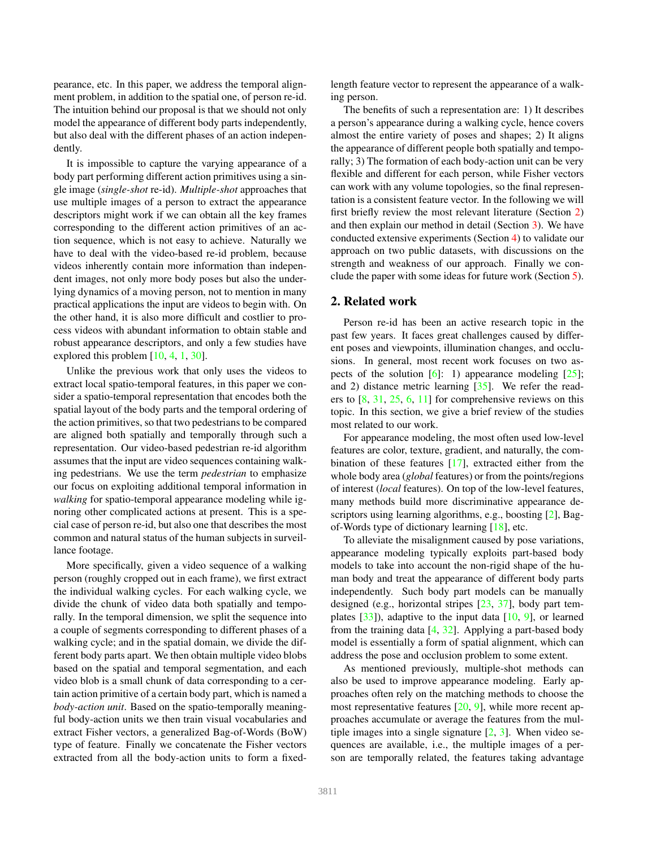<span id="page-1-1"></span>pearance, etc. In this paper, we address the temporal alignment problem, in addition to the spatial one, of person re-id. The intuition behind our proposal is that we should not only model the appearance of different body parts independently, but also deal with the different phases of an action independently.

It is impossible to capture the varying appearance of a body part performing different action primitives using a single image (*single-shot* re-id). *Multiple-shot* approaches that use multiple images of a person to extract the appearance descriptors might work if we can obtain all the key frames corresponding to the different action primitives of an action sequence, which is not easy to achieve. Naturally we have to deal with the video-based re-id problem, because videos inherently contain more information than independent images, not only more body poses but also the underlying dynamics of a moving person, not to mention in many practical applications the input are videos to begin with. On the other hand, it is also more difficult and costlier to process videos with abundant information to obtain stable and robust appearance descriptors, and only a few studies have explored this problem [\[10,](#page-8-1) [4,](#page-8-2) [1,](#page-8-3) [30\]](#page-8-4).

Unlike the previous work that only uses the videos to extract local spatio-temporal features, in this paper we consider a spatio-temporal representation that encodes both the spatial layout of the body parts and the temporal ordering of the action primitives, so that two pedestrians to be compared are aligned both spatially and temporally through such a representation. Our video-based pedestrian re-id algorithm assumes that the input are video sequences containing walking pedestrians. We use the term *pedestrian* to emphasize our focus on exploiting additional temporal information in *walking* for spatio-temporal appearance modeling while ignoring other complicated actions at present. This is a special case of person re-id, but also one that describes the most common and natural status of the human subjects in surveillance footage.

More specifically, given a video sequence of a walking person (roughly cropped out in each frame), we first extract the individual walking cycles. For each walking cycle, we divide the chunk of video data both spatially and temporally. In the temporal dimension, we split the sequence into a couple of segments corresponding to different phases of a walking cycle; and in the spatial domain, we divide the different body parts apart. We then obtain multiple video blobs based on the spatial and temporal segmentation, and each video blob is a small chunk of data corresponding to a certain action primitive of a certain body part, which is named a *body-action unit*. Based on the spatio-temporally meaningful body-action units we then train visual vocabularies and extract Fisher vectors, a generalized Bag-of-Words (BoW) type of feature. Finally we concatenate the Fisher vectors extracted from all the body-action units to form a fixedlength feature vector to represent the appearance of a walking person.

The benefits of such a representation are: 1) It describes a person's appearance during a walking cycle, hence covers almost the entire variety of poses and shapes; 2) It aligns the appearance of different people both spatially and temporally; 3) The formation of each body-action unit can be very flexible and different for each person, while Fisher vectors can work with any volume topologies, so the final representation is a consistent feature vector. In the following we will first briefly review the most relevant literature (Section [2\)](#page-1-0) and then explain our method in detail (Section [3\)](#page-2-0). We have conducted extensive experiments (Section [4\)](#page-4-0) to validate our approach on two public datasets, with discussions on the strength and weakness of our approach. Finally we conclude the paper with some ideas for future work (Section [5\)](#page-7-0).

## <span id="page-1-0"></span>2. Related work

Person re-id has been an active research topic in the past few years. It faces great challenges caused by different poses and viewpoints, illumination changes, and occlusions. In general, most recent work focuses on two aspects of the solution  $[6]$ : 1) appearance modeling  $[25]$ ; and 2) distance metric learning [\[35\]](#page-8-6). We refer the readers to  $[8, 31, 25, 6, 11]$  $[8, 31, 25, 6, 11]$  $[8, 31, 25, 6, 11]$  $[8, 31, 25, 6, 11]$  $[8, 31, 25, 6, 11]$  $[8, 31, 25, 6, 11]$  $[8, 31, 25, 6, 11]$  $[8, 31, 25, 6, 11]$  $[8, 31, 25, 6, 11]$  for comprehensive reviews on this topic. In this section, we give a brief review of the studies most related to our work.

For appearance modeling, the most often used low-level features are color, texture, gradient, and naturally, the combination of these features [\[17\]](#page-8-10), extracted either from the whole body area (*global* features) or from the points/regions of interest (*local* features). On top of the low-level features, many methods build more discriminative appearance de-scriptors using learning algorithms, e.g., boosting [\[2\]](#page-8-11), Bagof-Words type of dictionary learning [\[18\]](#page-8-12), etc.

To alleviate the misalignment caused by pose variations, appearance modeling typically exploits part-based body models to take into account the non-rigid shape of the human body and treat the appearance of different body parts independently. Such body part models can be manually designed (e.g., horizontal stripes [\[23,](#page-8-13) [37\]](#page-8-14), body part templates  $[33]$ ), adaptive to the input data  $[10, 9]$  $[10, 9]$ , or learned from the training data  $[4, 32]$  $[4, 32]$  $[4, 32]$ . Applying a part-based body model is essentially a form of spatial alignment, which can address the pose and occlusion problem to some extent.

As mentioned previously, multiple-shot methods can also be used to improve appearance modeling. Early approaches often rely on the matching methods to choose the most representative features  $[20, 9]$  $[20, 9]$ , while more recent approaches accumulate or average the features from the multiple images into a single signature  $[2, 3]$  $[2, 3]$ . When video sequences are available, i.e., the multiple images of a person are temporally related, the features taking advantage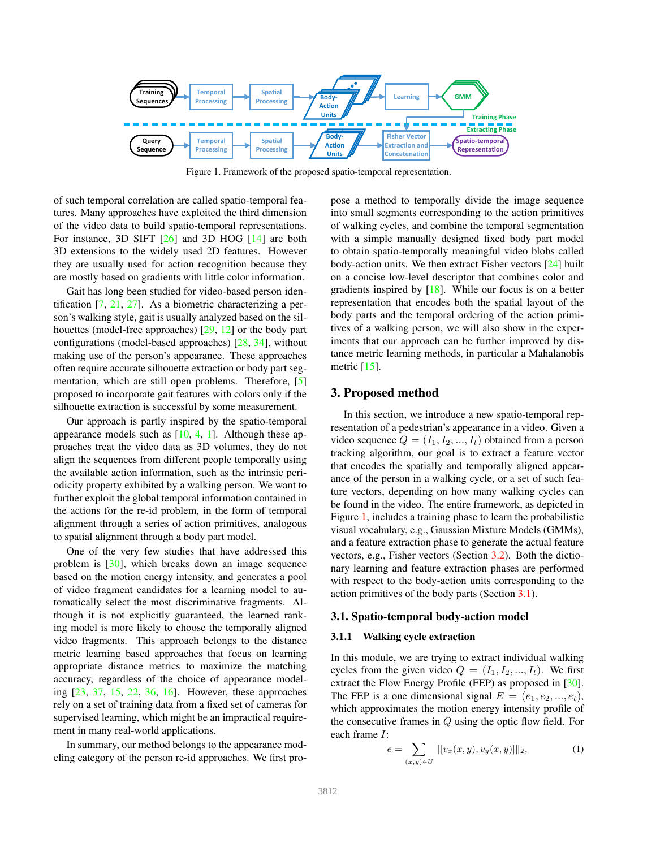<span id="page-2-3"></span>

<span id="page-2-1"></span>Figure 1. Framework of the proposed spatio-temporal representation.

of such temporal correlation are called spatio-temporal features. Many approaches have exploited the third dimension of the video data to build spatio-temporal representations. For instance, 3D SIFT [\[26\]](#page-8-20) and 3D HOG [\[14\]](#page-8-21) are both 3D extensions to the widely used 2D features. However they are usually used for action recognition because they are mostly based on gradients with little color information.

Gait has long been studied for video-based person identification [\[7,](#page-8-22) [21,](#page-8-23) [27\]](#page-8-24). As a biometric characterizing a person's walking style, gait is usually analyzed based on the silhouettes (model-free approaches) [\[29,](#page-8-25) [12\]](#page-8-26) or the body part configurations (model-based approaches) [\[28,](#page-8-27) [34\]](#page-8-28), without making use of the person's appearance. These approaches often require accurate silhouette extraction or body part segmentation, which are still open problems. Therefore, [\[5\]](#page-8-29) proposed to incorporate gait features with colors only if the silhouette extraction is successful by some measurement.

Our approach is partly inspired by the spatio-temporal appearance models such as  $[10, 4, 1]$  $[10, 4, 1]$  $[10, 4, 1]$  $[10, 4, 1]$  $[10, 4, 1]$ . Although these approaches treat the video data as 3D volumes, they do not align the sequences from different people temporally using the available action information, such as the intrinsic periodicity property exhibited by a walking person. We want to further exploit the global temporal information contained in the actions for the re-id problem, in the form of temporal alignment through a series of action primitives, analogous to spatial alignment through a body part model.

One of the very few studies that have addressed this problem is [\[30\]](#page-8-4), which breaks down an image sequence based on the motion energy intensity, and generates a pool of video fragment candidates for a learning model to automatically select the most discriminative fragments. Although it is not explicitly guaranteed, the learned ranking model is more likely to choose the temporally aligned video fragments. This approach belongs to the distance metric learning based approaches that focus on learning appropriate distance metrics to maximize the matching accuracy, regardless of the choice of appearance modeling [\[23,](#page-8-13) [37,](#page-8-14) [15,](#page-8-30) [22,](#page-8-31) [36,](#page-8-32) [16\]](#page-8-33). However, these approaches rely on a set of training data from a fixed set of cameras for supervised learning, which might be an impractical requirement in many real-world applications.

In summary, our method belongs to the appearance modeling category of the person re-id approaches. We first propose a method to temporally divide the image sequence into small segments corresponding to the action primitives of walking cycles, and combine the temporal segmentation with a simple manually designed fixed body part model to obtain spatio-temporally meaningful video blobs called body-action units. We then extract Fisher vectors [\[24\]](#page-8-34) built on a concise low-level descriptor that combines color and gradients inspired by [\[18\]](#page-8-12). While our focus is on a better representation that encodes both the spatial layout of the body parts and the temporal ordering of the action primitives of a walking person, we will also show in the experiments that our approach can be further improved by distance metric learning methods, in particular a Mahalanobis metric  $[15]$ .

# <span id="page-2-0"></span>3. Proposed method

In this section, we introduce a new spatio-temporal representation of a pedestrian's appearance in a video. Given a video sequence  $Q = (I_1, I_2, ..., I_t)$  obtained from a person tracking algorithm, our goal is to extract a feature vector that encodes the spatially and temporally aligned appearance of the person in a walking cycle, or a set of such feature vectors, depending on how many walking cycles can be found in the video. The entire framework, as depicted in Figure [1,](#page-2-1) includes a training phase to learn the probabilistic visual vocabulary, e.g., Gaussian Mixture Models (GMMs), and a feature extraction phase to generate the actual feature vectors, e.g., Fisher vectors (Section [3.2\)](#page-4-1). Both the dictionary learning and feature extraction phases are performed with respect to the body-action units corresponding to the action primitives of the body parts (Section [3.1\)](#page-2-2).

#### <span id="page-2-2"></span>3.1. Spatio-temporal body-action model

### 3.1.1 Walking cycle extraction

In this module, we are trying to extract individual walking cycles from the given video  $Q = (I_1, I_2, ..., I_t)$ . We first extract the Flow Energy Profile (FEP) as proposed in [\[30\]](#page-8-4). The FEP is a one dimensional signal  $E = (e_1, e_2, ..., e_t)$ , which approximates the motion energy intensity profile of the consecutive frames in Q using the optic flow field. For each frame I:

$$
e = \sum_{(x,y)\in U} ||[v_x(x,y), v_y(x,y)]||_2,
$$
 (1)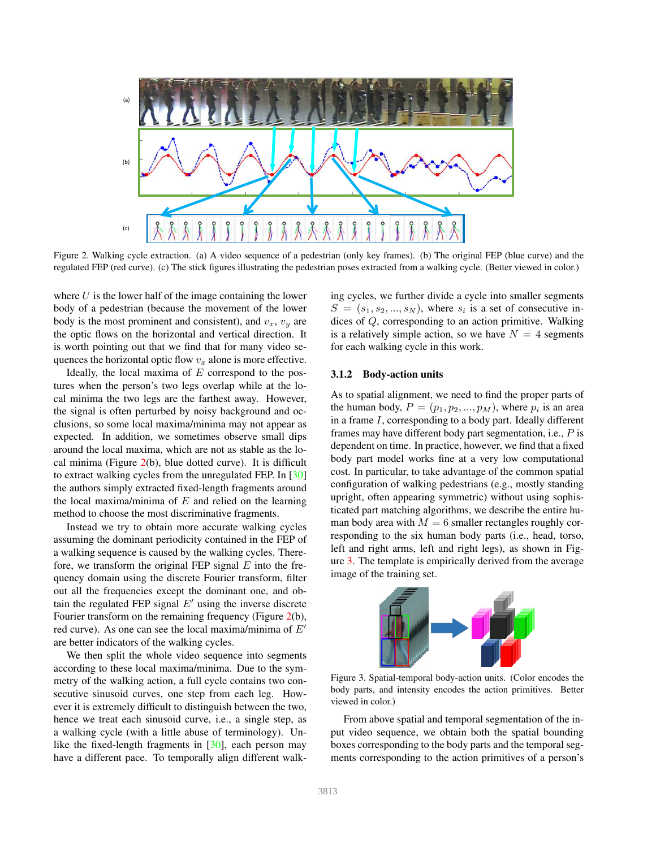<span id="page-3-2"></span>

<span id="page-3-0"></span>Figure 2. Walking cycle extraction. (a) A video sequence of a pedestrian (only key frames). (b) The original FEP (blue curve) and the regulated FEP (red curve). (c) The stick figures illustrating the pedestrian poses extracted from a walking cycle. (Better viewed in color.)

where  $U$  is the lower half of the image containing the lower body of a pedestrian (because the movement of the lower body is the most prominent and consistent), and  $v_x$ ,  $v_y$  are the optic flows on the horizontal and vertical direction. It is worth pointing out that we find that for many video sequences the horizontal optic flow  $v_x$  alone is more effective.

Ideally, the local maxima of  $E$  correspond to the postures when the person's two legs overlap while at the local minima the two legs are the farthest away. However, the signal is often perturbed by noisy background and occlusions, so some local maxima/minima may not appear as expected. In addition, we sometimes observe small dips around the local maxima, which are not as stable as the local minima (Figure [2\(](#page-3-0)b), blue dotted curve). It is difficult to extract walking cycles from the unregulated FEP. In [\[30\]](#page-8-4) the authors simply extracted fixed-length fragments around the local maxima/minima of  $E$  and relied on the learning method to choose the most discriminative fragments.

Instead we try to obtain more accurate walking cycles assuming the dominant periodicity contained in the FEP of a walking sequence is caused by the walking cycles. Therefore, we transform the original FEP signal  $E$  into the frequency domain using the discrete Fourier transform, filter out all the frequencies except the dominant one, and obtain the regulated FEP signal  $E'$  using the inverse discrete Fourier transform on the remaining frequency (Figure [2\(](#page-3-0)b), red curve). As one can see the local maxima/minima of  $E'$ are better indicators of the walking cycles.

We then split the whole video sequence into segments according to these local maxima/minima. Due to the symmetry of the walking action, a full cycle contains two consecutive sinusoid curves, one step from each leg. However it is extremely difficult to distinguish between the two, hence we treat each sinusoid curve, i.e., a single step, as a walking cycle (with a little abuse of terminology). Unlike the fixed-length fragments in [\[30\]](#page-8-4), each person may have a different pace. To temporally align different walking cycles, we further divide a cycle into smaller segments  $S = (s_1, s_2, ..., s_N)$ , where  $s_i$  is a set of consecutive indices of Q, corresponding to an action primitive. Walking is a relatively simple action, so we have  $N = 4$  segments for each walking cycle in this work.

#### 3.1.2 Body-action units

As to spatial alignment, we need to find the proper parts of the human body,  $P = (p_1, p_2, ..., p_M)$ , where  $p_i$  is an area in a frame I, corresponding to a body part. Ideally different frames may have different body part segmentation, i.e., P is dependent on time. In practice, however, we find that a fixed body part model works fine at a very low computational cost. In particular, to take advantage of the common spatial configuration of walking pedestrians (e.g., mostly standing upright, often appearing symmetric) without using sophisticated part matching algorithms, we describe the entire human body area with  $M = 6$  smaller rectangles roughly corresponding to the six human body parts (i.e., head, torso, left and right arms, left and right legs), as shown in Figure [3.](#page-3-1) The template is empirically derived from the average image of the training set.



<span id="page-3-1"></span>Figure 3. Spatial-temporal body-action units. (Color encodes the body parts, and intensity encodes the action primitives. Better viewed in color.)

From above spatial and temporal segmentation of the input video sequence, we obtain both the spatial bounding boxes corresponding to the body parts and the temporal segments corresponding to the action primitives of a person's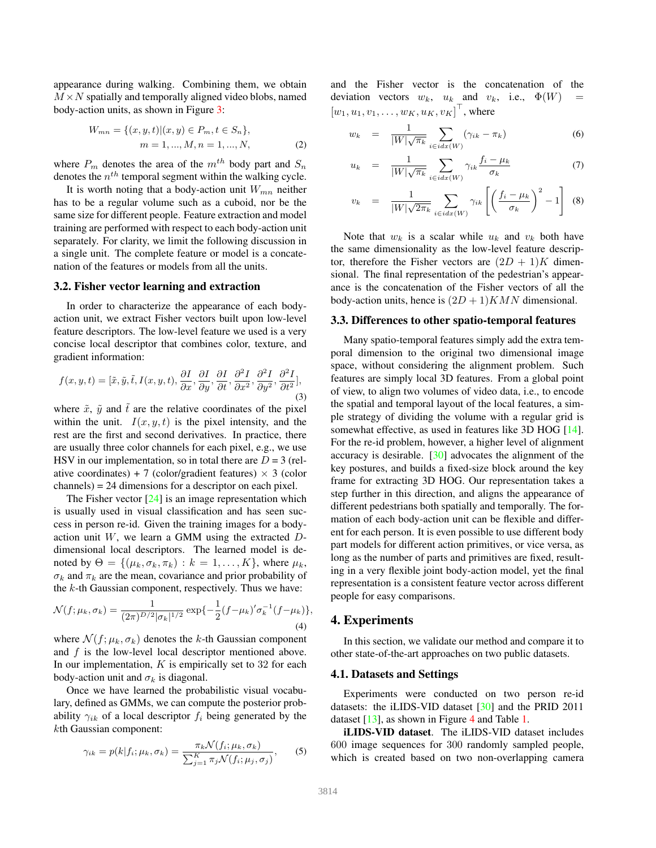<span id="page-4-2"></span>appearance during walking. Combining them, we obtain  $M \times N$  spatially and temporally aligned video blobs, named body-action units, as shown in Figure [3:](#page-3-1)

$$
W_{mn} = \{(x, y, t) | (x, y) \in P_m, t \in S_n \},
$$
  
\n
$$
m = 1, ..., M, n = 1, ..., N,
$$
\n(2)

where  $P_m$  denotes the area of the  $m^{th}$  body part and  $S_n$ denotes the  $n^{th}$  temporal segment within the walking cycle.

It is worth noting that a body-action unit  $W_{mn}$  neither has to be a regular volume such as a cuboid, nor be the same size for different people. Feature extraction and model training are performed with respect to each body-action unit separately. For clarity, we limit the following discussion in a single unit. The complete feature or model is a concatenation of the features or models from all the units.

### <span id="page-4-1"></span>3.2. Fisher vector learning and extraction

In order to characterize the appearance of each bodyaction unit, we extract Fisher vectors built upon low-level feature descriptors. The low-level feature we used is a very concise local descriptor that combines color, texture, and gradient information:

$$
f(x, y, t) = [\tilde{x}, \tilde{y}, \tilde{t}, I(x, y, t), \frac{\partial I}{\partial x}, \frac{\partial I}{\partial y}, \frac{\partial I}{\partial t}, \frac{\partial^2 I}{\partial x^2}, \frac{\partial^2 I}{\partial y^2}, \frac{\partial^2 I}{\partial t^2}],
$$
\n(3)

where  $\tilde{x}$ ,  $\tilde{y}$  and t are the relative coordinates of the pixel within the unit.  $I(x, y, t)$  is the pixel intensity, and the rest are the first and second derivatives. In practice, there are usually three color channels for each pixel, e.g., we use HSV in our implementation, so in total there are  $D = 3$  (relative coordinates) + 7 (color/gradient features)  $\times$  3 (color channels) = 24 dimensions for a descriptor on each pixel.

The Fisher vector  $[24]$  is an image representation which is usually used in visual classification and has seen success in person re-id. Given the training images for a bodyaction unit  $W$ , we learn a GMM using the extracted  $D$ dimensional local descriptors. The learned model is denoted by  $\Theta = \{(\mu_k, \sigma_k, \pi_k) : k = 1, \ldots, K\}$ , where  $\mu_k$ ,  $\sigma_k$  and  $\pi_k$  are the mean, covariance and prior probability of the  $k$ -th Gaussian component, respectively. Thus we have:

$$
\mathcal{N}(f; \mu_k, \sigma_k) = \frac{1}{(2\pi)^{D/2} |\sigma_k|^{1/2}} \exp\{-\frac{1}{2}(f - \mu_k)' \sigma_k^{-1} (f - \mu_k)\},\tag{4}
$$

where  $\mathcal{N}(f; \mu_k, \sigma_k)$  denotes the k-th Gaussian component and  $f$  is the low-level local descriptor mentioned above. In our implementation,  $K$  is empirically set to 32 for each body-action unit and  $\sigma_k$  is diagonal.

Once we have learned the probabilistic visual vocabulary, defined as GMMs, we can compute the posterior probability  $\gamma_{ik}$  of a local descriptor  $f_i$  being generated by the kth Gaussian component:

$$
\gamma_{ik} = p(k|f_i; \mu_k, \sigma_k) = \frac{\pi_k \mathcal{N}(f_i; \mu_k, \sigma_k)}{\sum_{j=1}^K \pi_j \mathcal{N}(f_i; \mu_j, \sigma_j)}, \quad (5)
$$

and the Fisher vector is the concatenation of the deviation vectors  $w_k$ ,  $u_k$  and  $v_k$ , i.e.,  $\Phi(W)$  =  $\left[w_1, u_1, v_1, \ldots, w_K, u_K, v_K\right]^{\top}$ , where

$$
w_k = \frac{1}{|W|\sqrt{\pi_k}} \sum_{i \in idx(W)} (\gamma_{ik} - \pi_k) \tag{6}
$$

$$
u_k = \frac{1}{|W|\sqrt{\pi_k}} \sum_{i \in idx(W)} \gamma_{ik} \frac{f_i - \mu_k}{\sigma_k} \tag{7}
$$

$$
v_k = \frac{1}{|W|\sqrt{2\pi_k}} \sum_{i \in idx(W)} \gamma_{ik} \left[ \left( \frac{f_i - \mu_k}{\sigma_k} \right)^2 - 1 \right] \tag{8}
$$

Note that  $w_k$  is a scalar while  $u_k$  and  $v_k$  both have the same dimensionality as the low-level feature descriptor, therefore the Fisher vectors are  $(2D + 1)K$  dimensional. The final representation of the pedestrian's appearance is the concatenation of the Fisher vectors of all the body-action units, hence is  $(2D+1)KMN$  dimensional.

#### 3.3. Differences to other spatio-temporal features

Many spatio-temporal features simply add the extra temporal dimension to the original two dimensional image space, without considering the alignment problem. Such features are simply local 3D features. From a global point of view, to align two volumes of video data, i.e., to encode the spatial and temporal layout of the local features, a simple strategy of dividing the volume with a regular grid is somewhat effective, as used in features like 3D HOG [\[14\]](#page-8-21). For the re-id problem, however, a higher level of alignment accuracy is desirable. [\[30\]](#page-8-4) advocates the alignment of the key postures, and builds a fixed-size block around the key frame for extracting 3D HOG. Our representation takes a step further in this direction, and aligns the appearance of different pedestrians both spatially and temporally. The formation of each body-action unit can be flexible and different for each person. It is even possible to use different body part models for different action primitives, or vice versa, as long as the number of parts and primitives are fixed, resulting in a very flexible joint body-action model, yet the final representation is a consistent feature vector across different people for easy comparisons.

#### <span id="page-4-0"></span>4. Experiments

In this section, we validate our method and compare it to other state-of-the-art approaches on two public datasets.

#### 4.1. Datasets and Settings

Experiments were conducted on two person re-id datasets: the iLIDS-VID dataset [\[30\]](#page-8-4) and the PRID 2011 dataset [\[13\]](#page-8-35), as shown in Figure [4](#page-5-0) and Table [1.](#page-5-1)

iLIDS-VID dataset. The iLIDS-VID dataset includes 600 image sequences for 300 randomly sampled people, which is created based on two non-overlapping camera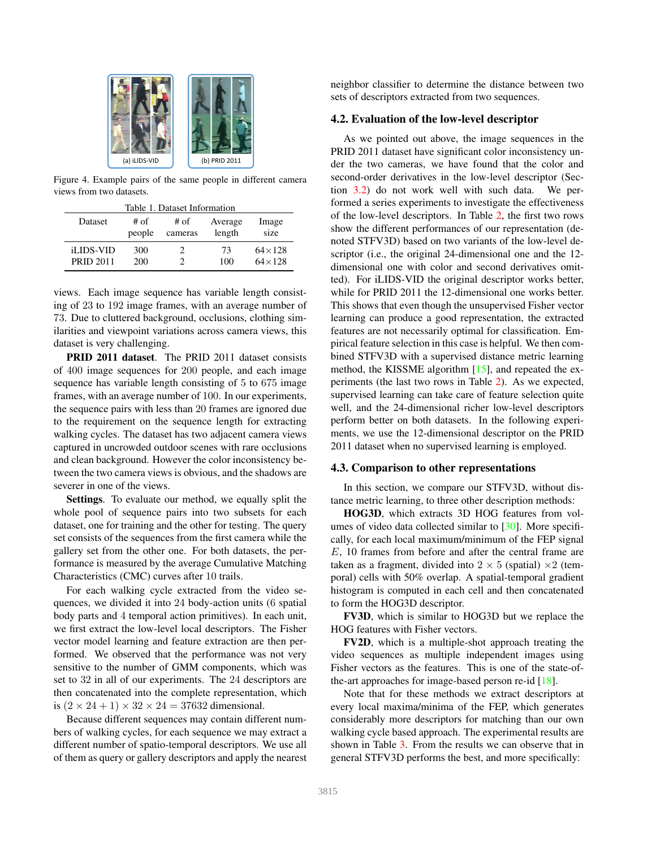<span id="page-5-2"></span>

Figure 4. Example pairs of the same people in different camera views from two datasets.

| Table 1. Dataset Information |        |         |         |               |  |  |  |  |
|------------------------------|--------|---------|---------|---------------|--|--|--|--|
| Dataset                      | $#$ of | # of    | Average | Image         |  |  |  |  |
|                              | people | cameras | length  | size          |  |  |  |  |
| <b>iLIDS-VID</b>             | 300    | 2       | 73      | $64\times128$ |  |  |  |  |
| <b>PRID 2011</b>             | 200    |         | 100     | $64\times128$ |  |  |  |  |

<span id="page-5-1"></span><span id="page-5-0"></span>

views. Each image sequence has variable length consisting of 23 to 192 image frames, with an average number of 73. Due to cluttered background, occlusions, clothing similarities and viewpoint variations across camera views, this dataset is very challenging.

PRID 2011 dataset. The PRID 2011 dataset consists of 400 image sequences for 200 people, and each image sequence has variable length consisting of 5 to 675 image frames, with an average number of 100. In our experiments, the sequence pairs with less than 20 frames are ignored due to the requirement on the sequence length for extracting walking cycles. The dataset has two adjacent camera views captured in uncrowded outdoor scenes with rare occlusions and clean background. However the color inconsistency between the two camera views is obvious, and the shadows are severer in one of the views.

Settings. To evaluate our method, we equally split the whole pool of sequence pairs into two subsets for each dataset, one for training and the other for testing. The query set consists of the sequences from the first camera while the gallery set from the other one. For both datasets, the performance is measured by the average Cumulative Matching Characteristics (CMC) curves after 10 trails.

For each walking cycle extracted from the video sequences, we divided it into 24 body-action units (6 spatial body parts and 4 temporal action primitives). In each unit, we first extract the low-level local descriptors. The Fisher vector model learning and feature extraction are then performed. We observed that the performance was not very sensitive to the number of GMM components, which was set to 32 in all of our experiments. The 24 descriptors are then concatenated into the complete representation, which is  $(2 \times 24 + 1) \times 32 \times 24 = 37632$  dimensional.

Because different sequences may contain different numbers of walking cycles, for each sequence we may extract a different number of spatio-temporal descriptors. We use all of them as query or gallery descriptors and apply the nearest neighbor classifier to determine the distance between two sets of descriptors extracted from two sequences.

#### 4.2. Evaluation of the low-level descriptor

As we pointed out above, the image sequences in the PRID 2011 dataset have significant color inconsistency under the two cameras, we have found that the color and second-order derivatives in the low-level descriptor (Section [3.2\)](#page-4-1) do not work well with such data. We performed a series experiments to investigate the effectiveness of the low-level descriptors. In Table [2,](#page-6-0) the first two rows show the different performances of our representation (denoted STFV3D) based on two variants of the low-level descriptor (i.e., the original 24-dimensional one and the 12 dimensional one with color and second derivatives omitted). For iLIDS-VID the original descriptor works better, while for PRID 2011 the 12-dimensional one works better. This shows that even though the unsupervised Fisher vector learning can produce a good representation, the extracted features are not necessarily optimal for classification. Empirical feature selection in this case is helpful. We then combined STFV3D with a supervised distance metric learning method, the KISSME algorithm [\[15\]](#page-8-30), and repeated the experiments (the last two rows in Table [2\)](#page-6-0). As we expected, supervised learning can take care of feature selection quite well, and the 24-dimensional richer low-level descriptors perform better on both datasets. In the following experiments, we use the 12-dimensional descriptor on the PRID 2011 dataset when no supervised learning is employed.

#### 4.3. Comparison to other representations

In this section, we compare our STFV3D, without distance metric learning, to three other description methods:

HOG3D, which extracts 3D HOG features from vol-umes of video data collected similar to [\[30\]](#page-8-4). More specifically, for each local maximum/minimum of the FEP signal E, 10 frames from before and after the central frame are taken as a fragment, divided into  $2 \times 5$  (spatial)  $\times 2$  (temporal) cells with 50% overlap. A spatial-temporal gradient histogram is computed in each cell and then concatenated to form the HOG3D descriptor.

FV3D, which is similar to HOG3D but we replace the HOG features with Fisher vectors.

FV2D, which is a multiple-shot approach treating the video sequences as multiple independent images using Fisher vectors as the features. This is one of the state-ofthe-art approaches for image-based person re-id [\[18\]](#page-8-12).

Note that for these methods we extract descriptors at every local maxima/minima of the FEP, which generates considerably more descriptors for matching than our own walking cycle based approach. The experimental results are shown in Table [3.](#page-6-1) From the results we can observe that in general STFV3D performs the best, and more specifically: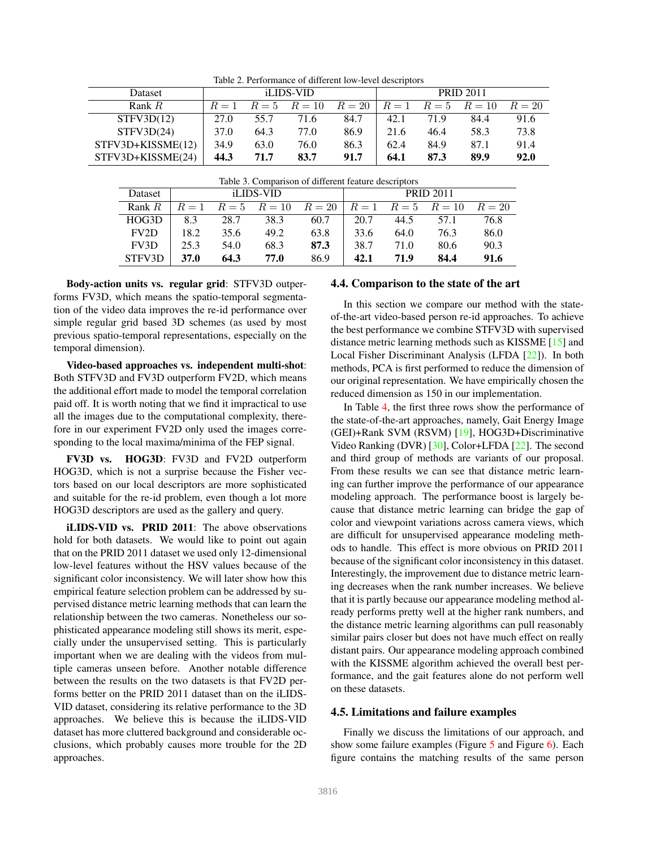<span id="page-6-1"></span><span id="page-6-0"></span>Table 2. Performance of different low-level descriptors

<span id="page-6-2"></span>

| <b>Dataset</b>    | <i>iLIDS-VID</i> |      |              | <b>PRID 2011</b> |      |      |                          |        |
|-------------------|------------------|------|--------------|------------------|------|------|--------------------------|--------|
| Rank $R$          | $R=1$            |      | $R=5$ $R=10$ | $R=20$           |      |      | $R = 1$ $R = 5$ $R = 10$ | $R=20$ |
| STFV3D(12)        | 27.0             | 55.7 | 71.6         | 84.7             | 42.1 | 719  | 84.4                     | 91.6   |
| STFV3D(24)        | 37.0             | 64.3 | 77.0         | 86.9             | 21.6 | 46.4 | 58.3                     | 73.8   |
| STFV3D+KISSME(12) | 34.9             | 63.0 | 76.0         | 86.3             | 62.4 | 84.9 | 87.1                     | 91.4   |
| STFV3D+KISSME(24) | 44.3             | 71.7 | 83.7         | 91.7             | 64.1 | 87.3 | 89.9                     | 92.0   |

| Table 3. Comparison of different feature descriptors |                  |      |              |        |                  |      |                          |        |  |
|------------------------------------------------------|------------------|------|--------------|--------|------------------|------|--------------------------|--------|--|
| Dataset                                              | <i>iLIDS-VID</i> |      |              |        | <b>PRID 2011</b> |      |                          |        |  |
| Rank R                                               | $R=1$            |      | $R=5$ $R=10$ | $R=20$ |                  |      | $R = 1$ $R = 5$ $R = 10$ | $R=20$ |  |
| HOG3D                                                | 8.3              | 28.7 | 38.3         | 60.7   | 20.7             | 44.5 | 57.1                     | 76.8   |  |
| FV2D                                                 | 18.2             | 35.6 | 49.2         | 63.8   | 33.6             | 64.0 | 76.3                     | 86.0   |  |
| FV <sub>3</sub> D                                    | 25.3             | 54.0 | 68.3         | 87.3   | 38.7             | 71.0 | 80.6                     | 90.3   |  |
| STFV3D                                               | 37.0             | 64.3 | 77.0         | 86.9   | 42.1             | 71.9 | 84.4                     | 91.6   |  |

Body-action units vs. regular grid: STFV3D outperforms FV3D, which means the spatio-temporal segmentation of the video data improves the re-id performance over simple regular grid based 3D schemes (as used by most previous spatio-temporal representations, especially on the temporal dimension).

Video-based approaches vs. independent multi-shot: Both STFV3D and FV3D outperform FV2D, which means the additional effort made to model the temporal correlation paid off. It is worth noting that we find it impractical to use all the images due to the computational complexity, therefore in our experiment FV2D only used the images corresponding to the local maxima/minima of the FEP signal.

FV3D vs. HOG3D: FV3D and FV2D outperform HOG3D, which is not a surprise because the Fisher vectors based on our local descriptors are more sophisticated and suitable for the re-id problem, even though a lot more HOG3D descriptors are used as the gallery and query.

iLIDS-VID vs. PRID 2011: The above observations hold for both datasets. We would like to point out again that on the PRID 2011 dataset we used only 12-dimensional low-level features without the HSV values because of the significant color inconsistency. We will later show how this empirical feature selection problem can be addressed by supervised distance metric learning methods that can learn the relationship between the two cameras. Nonetheless our sophisticated appearance modeling still shows its merit, especially under the unsupervised setting. This is particularly important when we are dealing with the videos from multiple cameras unseen before. Another notable difference between the results on the two datasets is that FV2D performs better on the PRID 2011 dataset than on the iLIDS-VID dataset, considering its relative performance to the 3D approaches. We believe this is because the iLIDS-VID dataset has more cluttered background and considerable occlusions, which probably causes more trouble for the 2D approaches.

### 4.4. Comparison to the state of the art

In this section we compare our method with the stateof-the-art video-based person re-id approaches. To achieve the best performance we combine STFV3D with supervised distance metric learning methods such as KISSME [\[15\]](#page-8-30) and Local Fisher Discriminant Analysis (LFDA [\[22\]](#page-8-31)). In both methods, PCA is first performed to reduce the dimension of our original representation. We have empirically chosen the reduced dimension as 150 in our implementation.

In Table [4,](#page-7-1) the first three rows show the performance of the state-of-the-art approaches, namely, Gait Energy Image (GEI)+Rank SVM (RSVM) [\[19\]](#page-8-36), HOG3D+Discriminative Video Ranking (DVR) [\[30\]](#page-8-4), Color+LFDA [\[22\]](#page-8-31). The second and third group of methods are variants of our proposal. From these results we can see that distance metric learning can further improve the performance of our appearance modeling approach. The performance boost is largely because that distance metric learning can bridge the gap of color and viewpoint variations across camera views, which are difficult for unsupervised appearance modeling methods to handle. This effect is more obvious on PRID 2011 because of the significant color inconsistency in this dataset. Interestingly, the improvement due to distance metric learning decreases when the rank number increases. We believe that it is partly because our appearance modeling method already performs pretty well at the higher rank numbers, and the distance metric learning algorithms can pull reasonably similar pairs closer but does not have much effect on really distant pairs. Our appearance modeling approach combined with the KISSME algorithm achieved the overall best performance, and the gait features alone do not perform well on these datasets.

### 4.5. Limitations and failure examples

Finally we discuss the limitations of our approach, and show some failure examples (Figure  $5$  and Figure  $6$ ). Each figure contains the matching results of the same person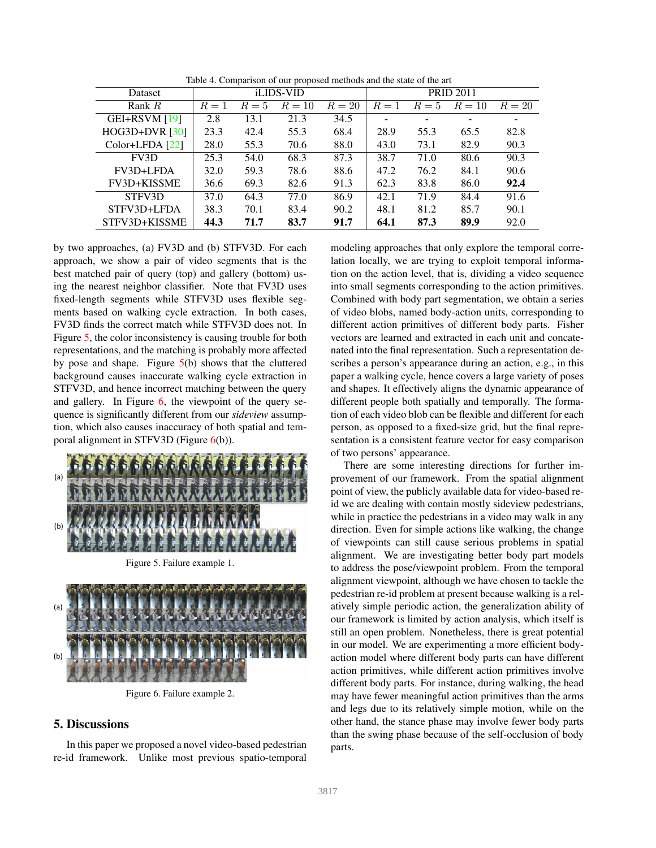<span id="page-7-4"></span>

| <b>Dataset</b>    | iLIDS-VID |       |        | <b>PRID 2011</b> |       |       |        |        |
|-------------------|-----------|-------|--------|------------------|-------|-------|--------|--------|
| Rank $R$          | $R=1$     | $R=5$ | $R=10$ | $R=20$           | $R=1$ | $R=5$ | $R=10$ | $R=20$ |
| GEI+RSVM $[19]$   | 2.8       | 13.1  | 21.3   | 34.5             |       |       |        |        |
| $HOG3D+DVR [30]$  | 23.3      | 42.4  | 55.3   | 68.4             | 28.9  | 55.3  | 65.5   | 82.8   |
| $Color+LFDA [22]$ | 28.0      | 55.3  | 70.6   | 88.0             | 43.0  | 73.1  | 82.9   | 90.3   |
| FV3D              | 25.3      | 54.0  | 68.3   | 87.3             | 38.7  | 71.0  | 80.6   | 90.3   |
| FV3D+LFDA         | 32.0      | 59.3  | 78.6   | 88.6             | 47.2  | 76.2  | 84.1   | 90.6   |
| FV3D+KISSME       | 36.6      | 69.3  | 82.6   | 91.3             | 62.3  | 83.8  | 86.0   | 92.4   |
| STFV3D            | 37.0      | 64.3  | 77.0   | 86.9             | 42.1  | 71.9  | 84.4   | 91.6   |
| STFV3D+LFDA       | 38.3      | 70.1  | 83.4   | 90.2             | 48.1  | 81.2  | 85.7   | 90.1   |
| STFV3D+KISSME     | 44.3      | 71.7  | 83.7   | 91.7             | 64.1  | 87.3  | 89.9   | 92.0   |

<span id="page-7-1"></span>Table 4. Comparison of our proposed methods and the state of the art

by two approaches, (a) FV3D and (b) STFV3D. For each approach, we show a pair of video segments that is the best matched pair of query (top) and gallery (bottom) using the nearest neighbor classifier. Note that FV3D uses fixed-length segments while STFV3D uses flexible segments based on walking cycle extraction. In both cases, FV3D finds the correct match while STFV3D does not. In Figure [5,](#page-7-2) the color inconsistency is causing trouble for both representations, and the matching is probably more affected by pose and shape. Figure [5\(](#page-7-2)b) shows that the cluttered background causes inaccurate walking cycle extraction in STFV3D, and hence incorrect matching between the query and gallery. In Figure [6,](#page-7-3) the viewpoint of the query sequence is significantly different from our *sideview* assumption, which also causes inaccuracy of both spatial and temporal alignment in STFV3D (Figure [6\(](#page-7-3)b)).



<span id="page-7-3"></span><span id="page-7-2"></span>Figure 6. Failure example 2.

# <span id="page-7-0"></span>5. Discussions

In this paper we proposed a novel video-based pedestrian re-id framework. Unlike most previous spatio-temporal modeling approaches that only explore the temporal correlation locally, we are trying to exploit temporal information on the action level, that is, dividing a video sequence into small segments corresponding to the action primitives. Combined with body part segmentation, we obtain a series of video blobs, named body-action units, corresponding to different action primitives of different body parts. Fisher vectors are learned and extracted in each unit and concatenated into the final representation. Such a representation describes a person's appearance during an action, e.g., in this paper a walking cycle, hence covers a large variety of poses and shapes. It effectively aligns the dynamic appearance of different people both spatially and temporally. The formation of each video blob can be flexible and different for each person, as opposed to a fixed-size grid, but the final representation is a consistent feature vector for easy comparison of two persons' appearance.

There are some interesting directions for further improvement of our framework. From the spatial alignment point of view, the publicly available data for video-based reid we are dealing with contain mostly sideview pedestrians, while in practice the pedestrians in a video may walk in any direction. Even for simple actions like walking, the change of viewpoints can still cause serious problems in spatial alignment. We are investigating better body part models to address the pose/viewpoint problem. From the temporal alignment viewpoint, although we have chosen to tackle the pedestrian re-id problem at present because walking is a relatively simple periodic action, the generalization ability of our framework is limited by action analysis, which itself is still an open problem. Nonetheless, there is great potential in our model. We are experimenting a more efficient bodyaction model where different body parts can have different action primitives, while different action primitives involve different body parts. For instance, during walking, the head may have fewer meaningful action primitives than the arms and legs due to its relatively simple motion, while on the other hand, the stance phase may involve fewer body parts than the swing phase because of the self-occlusion of body parts.